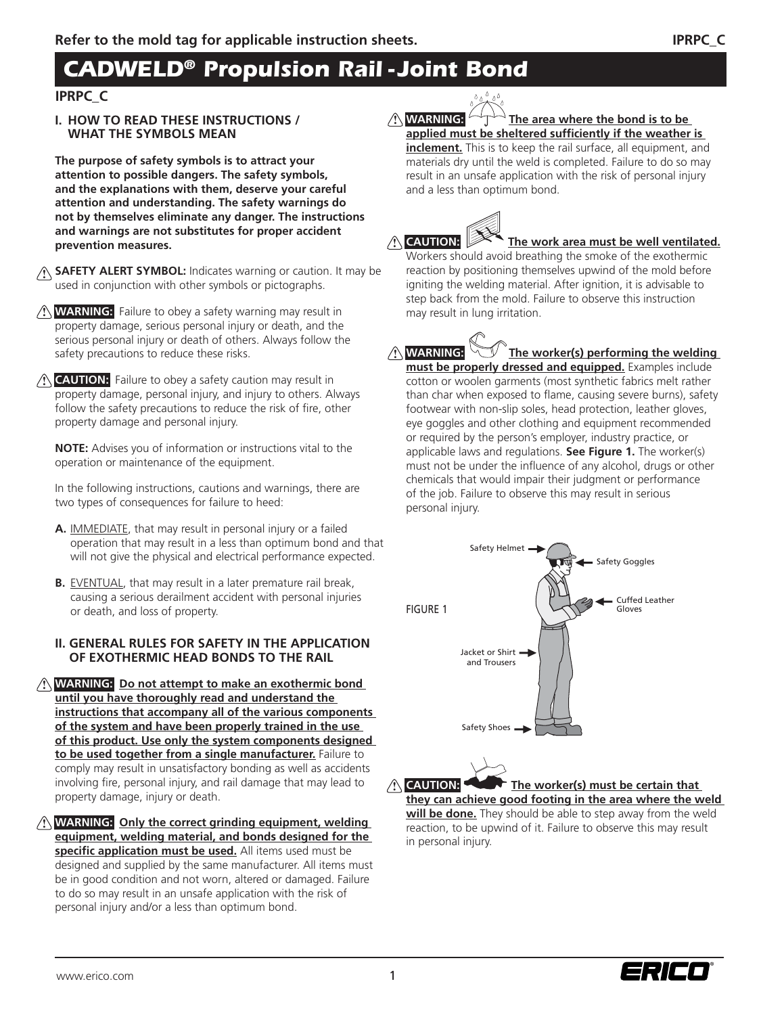# *CADWELD® Propulsion Rail - Joint Bond*

### **IPRPC\_C**

**I. HOW TO READ THESE INSTRUCTIONS / WHAT THE SYMBOLS MEAN**

**The purpose of safety symbols is to attract your attention to possible dangers. The safety symbols, and the explanations with them, deserve your careful attention and understanding. The safety warnings do not by themselves eliminate any danger. The instructions and warnings are not substitutes for proper accident prevention measures.**

- **SAFETY ALERT SYMBOL:** Indicates warning or caution. It may be **!** used in conjunction with other symbols or pictographs.
- **! WARNING:** Failure to obey a safety warning may result in property damage, serious personal injury or death, and the serious personal injury or death of others. Always follow the safety precautions to reduce these risks.
- **! CAUTION:** Failure to obey a safety caution may result in property damage, personal injury, and injury to others. Always follow the safety precautions to reduce the risk of fire, other property damage and personal injury.

**NOTE:** Advises you of information or instructions vital to the operation or maintenance of the equipment.

In the following instructions, cautions and warnings, there are two types of consequences for failure to heed:

- **A.** IMMEDIATE, that may result in personal injury or a failed operation that may result in a less than optimum bond and that will not give the physical and electrical performance expected.
- **B.** EVENTUAL, that may result in a later premature rail break, causing a serious derailment accident with personal injuries or death, and loss of property.

#### **II. GENERAL RULES FOR SAFETY IN THE APPLICATION OF EXOTHERMIC HEAD BONDS TO THE RAIL**

**! WARNING: Do not attempt to make an exothermic bond until you have thoroughly read and understand the instructions that accompany all of the various components of the system and have been properly trained in the use of this product. Use only the system components designed to be used together from a single manufacturer.** Failure to comply may result in unsatisfactory bonding as well as accidents involving fire, personal injury, and rail damage that may lead to property damage, injury or death.

**! WARNING: Only the correct grinding equipment, welding equipment, welding material, and bonds designed for the**  specific application must be used. All items used must be designed and supplied by the same manufacturer. All items must be in good condition and not worn, altered or damaged. Failure to do so may result in an unsafe application with the risk of personal injury and/or a less than optimum bond.



#### **A** WARNING: The area where the bond is to be applied must be sheltered sufficiently if the weather is

**inclement.** This is to keep the rail surface, all equipment, and materials dry until the weld is completed. Failure to do so may result in an unsafe application with the risk of personal injury and a less than optimum bond.

# **A** CAUTION:

# The work area must be well ventilated.

Workers should avoid breathing the smoke of the exothermic reaction by positioning themselves upwind of the mold before igniting the welding material. After ignition, it is advisable to step back from the mold. Failure to observe this instruction may result in lung irritation.

*A* **WARNING: The worker(s) performing the welding must be properly dressed and equipped.** Examples include cotton or woolen garments (most synthetic fabrics melt rather than char when exposed to flame, causing severe burns), safety footwear with non-slip soles, head protection, leather gloves, eye goggles and other clothing and equipment recommended or required by the person's employer, industry practice, or applicable laws and regulations. **See Figure 1.** The worker(s) must not be under the influence of any alcohol, drugs or other chemicals that would impair their judgment or performance of the job. Failure to observe this may result in serious personal injury.



**will be done.** They should be able to step away from the weld reaction, to be upwind of it. Failure to observe this may result in personal injury.



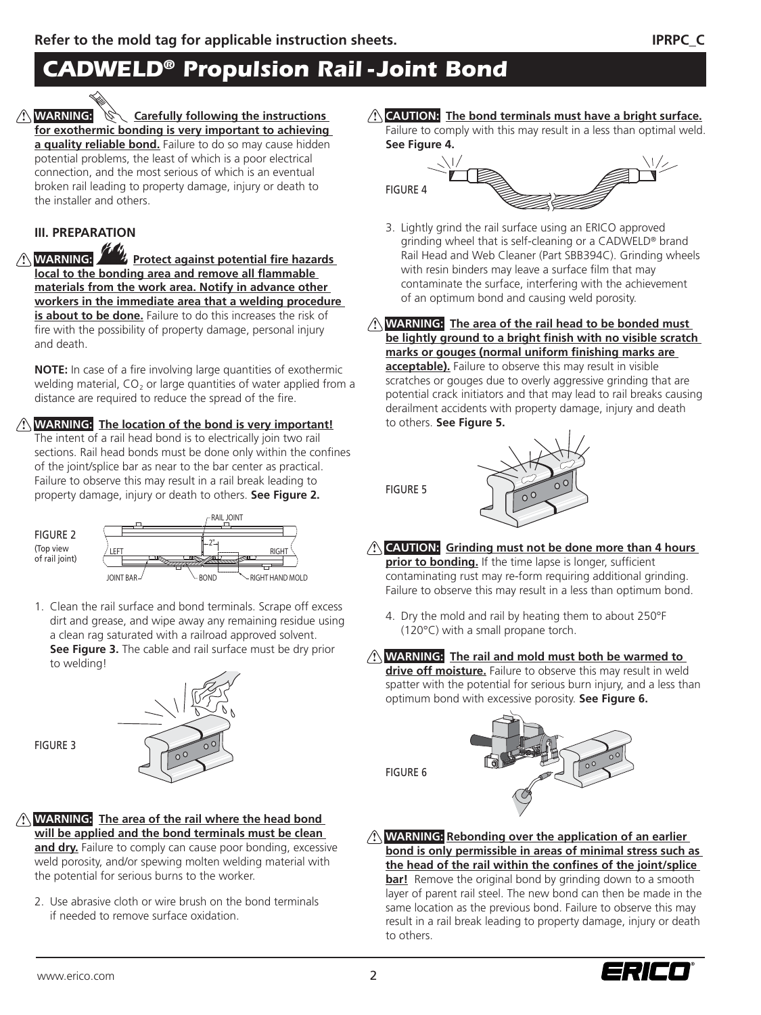# *CADWELD® Propulsion Rail - Joint Bond*

**A** WARNING: **WARNING: Carefully following the instructions for exothermic bonding is very important to achieving a quality reliable bond.** Failure to do so may cause hidden potential problems, the least of which is a poor electrical connection, and the most serious of which is an eventual broken rail leading to property damage, injury or death to the installer and others.

### **III. PREPARATION**

**A** WARNING: **Protect against potential fire hazards** local to the bonding area and remove all flammable **materials from the work area. Notify in advance other workers in the immediate area that a welding procedure is about to be done.** Failure to do this increases the risk of fire with the possibility of property damage, personal injury and death.

**NOTE:** In case of a fire involving large quantities of exothermic welding material,  $CO<sub>2</sub>$  or large quantities of water applied from a distance are required to reduce the spread of the fire.

### **! WARNING: The location of the bond is very important!**

The intent of a rail head bond is to electrically join two rail sections. Rail head bonds must be done only within the confines of the joint/splice bar as near to the bar center as practical. Failure to observe this may result in a rail break leading to property damage, injury or death to others. **See Figure 2.**



1. Clean the rail surface and bond terminals. Scrape off excess dirt and grease, and wipe away any remaining residue using a clean rag saturated with a railroad approved solvent.  **See Figure 3.** The cable and rail surface must be dry prior to welding!



#### **! WARNING: The area of the rail where the head bond will be applied and the bond terminals must be clean**

and dry. Failure to comply can cause poor bonding, excessive weld porosity, and/or spewing molten welding material with the potential for serious burns to the worker.

2. Use abrasive cloth or wire brush on the bond terminals if needed to remove surface oxidation.

**! CAUTION: The bond terminals must have a bright surface.**  Failure to comply with this may result in a less than optimal weld.



- 3. Lightly grind the rail surface using an ERICO approved grinding wheel that is self-cleaning or a CADWELD® brand Rail Head and Web Cleaner (Part SBB394C). Grinding wheels with resin binders may leave a surface film that may contaminate the surface, interfering with the achievement of an optimum bond and causing weld porosity.
- **! WARNING: The area of the rail head to be bonded must**  be lightly ground to a bright finish with no visible scratch marks or gouges (normal uniform finishing marks are **acceptable).** Failure to observe this may result in visible scratches or gouges due to overly aggressive grinding that are potential crack initiators and that may lead to rail breaks causing derailment accidents with property damage, injury and death to others. **See Figure 5.**



**! CAUTION: Grinding must not be done more than 4 hours prior to bonding.** If the time lapse is longer, sufficient contaminating rust may re-form requiring additional grinding. Failure to observe this may result in a less than optimum bond.

4. Dry the mold and rail by heating them to about 250°F (120°C) with a small propane torch.

### **! WARNING: The rail and mold must both be warmed to**

**drive off moisture.** Failure to observe this may result in weld spatter with the potential for serious burn injury, and a less than optimum bond with excessive porosity. **See Figure 6.**

FIGURE 6

FIGURE 5



**! WARNING: Rebonding over the application of an earlier bond is only permissible in areas of minimal stress such as**  the head of the rail within the confines of the joint/splice **bar!** Remove the original bond by grinding down to a smooth layer of parent rail steel. The new bond can then be made in the same location as the previous bond. Failure to observe this may result in a rail break leading to property damage, injury or death to others.



FIGURE 3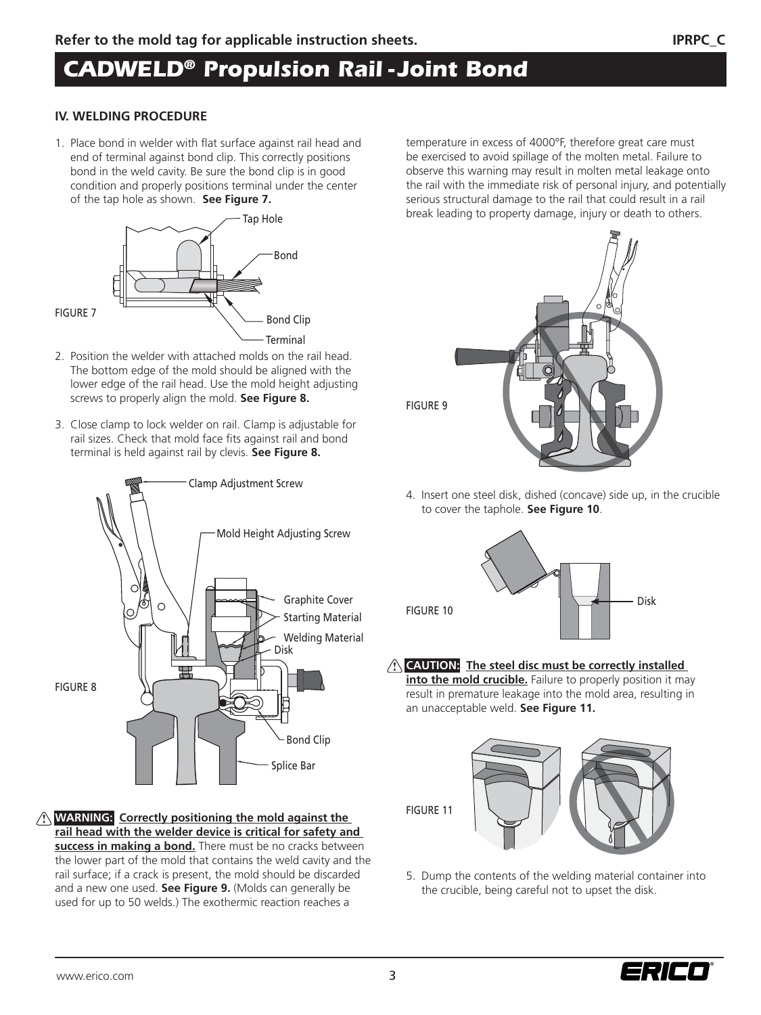# *CADWELD® Propulsion Rail - Joint Bond*

#### **IV. WELDING PROCEDURE**

1. Place bond in welder with flat surface against rail head and end of terminal against bond clip. This correctly positions bond in the weld cavity. Be sure the bond clip is in good condition and properly positions terminal under the center of the tap hole as shown. **See Figure 7.**



- 2. Position the welder with attached molds on the rail head. The bottom edge of the mold should be aligned with the lower edge of the rail head. Use the mold height adjusting screws to properly align the mold. **See Figure 8.**
- 3. Close clamp to lock welder on rail. Clamp is adjustable for rail sizes. Check that mold face fits against rail and bond terminal is held against rail by clevis. **See Figure 8.**



**! WARNING: Correctly positioning the mold against the rail head with the welder device is critical for safety and success in making a bond.** There must be no cracks between the lower part of the mold that contains the weld cavity and the rail surface; if a crack is present, the mold should be discarded and a new one used. **See Figure 9.** (Molds can generally be used for up to 50 welds.) The exothermic reaction reaches a

temperature in excess of 4000°F, therefore great care must be exercised to avoid spillage of the molten metal. Failure to observe this warning may result in molten metal leakage onto the rail with the immediate risk of personal injury, and potentially serious structural damage to the rail that could result in a rail break leading to property damage, injury or death to others.



4. Insert one steel disk, dished (concave) side up, in the crucible to cover the taphole. **See Figure 10**.



**! CAUTION: The steel disc must be correctly installed into the mold crucible.** Failure to properly position it may

result in premature leakage into the mold area, resulting in an unacceptable weld. **See Figure 11.**



- 
- 5. Dump the contents of the welding material container into the crucible, being careful not to upset the disk.